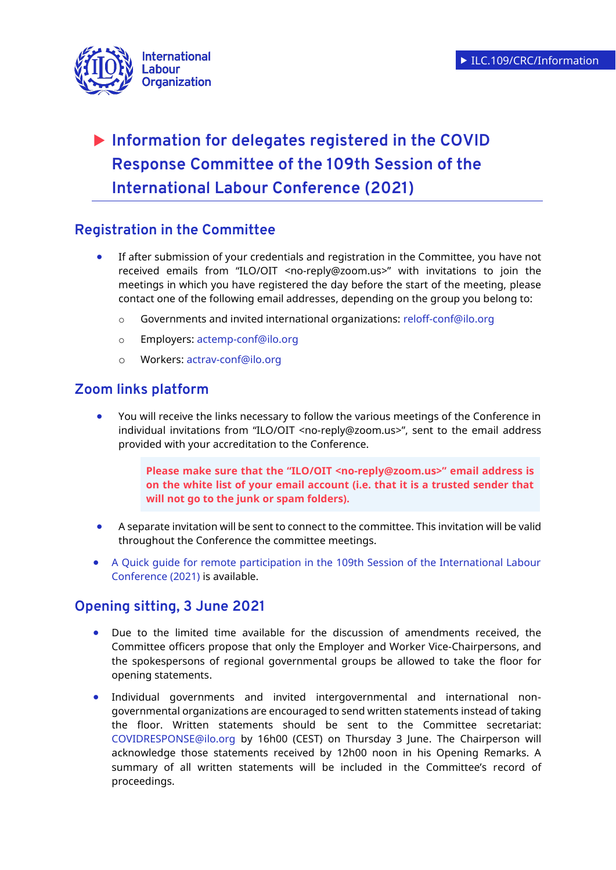

# **Information for delegates registered in the COVID Response Committee of the 109th Session of the International Labour Conference (2021)**

# **Registration in the Committee**

- If after submission of your credentials and registration in the Committee, you have not received emails from "ILO/OIT <no-reply@zoom.us>" with invitations to join the meetings in which you have registered the day before the start of the meeting, please contact one of the following email addresses, depending on the group you belong to:
	- o Governments and invited international organizations: [reloff-conf@ilo.org](mailto:reloff-conf@ilo.org)
	- o Employers: [actemp-conf@ilo.org](mailto:actemp-conf@ilo.org)
	- o Workers: [actrav-conf@ilo.org](mailto:actrav-conf@ilo.org)

## **Zoom links platform**

 You will receive the links necessary to follow the various meetings of the Conference in individual invitations from "ILO/OIT <no-reply@zoom.us>", sent to the email address provided with your accreditation to the Conference.

> **Please make sure that the "ILO/OIT <no-reply@zoom.us>" email address is on the white list of your email account (i.e. that it is a trusted sender that will not go to the junk or spam folders).**

- A separate invitation will be sent to connect to the committee. This invitation will be valid throughout the Conference the committee meetings.
- [A Quick guide for remote participation in the 109th Session of the International Labour](https://www.ilo.org/ilc/ILCSessions/109/practical-information/WCMS_792440/lang--en/index.htm)  [Conference \(2021\)](https://www.ilo.org/ilc/ILCSessions/109/practical-information/WCMS_792440/lang--en/index.htm) is available.

# **Opening sitting, 3 June 2021**

- Due to the limited time available for the discussion of amendments received, the Committee officers propose that only the Employer and Worker Vice-Chairpersons, and the spokespersons of regional governmental groups be allowed to take the floor for opening statements.
- Individual governments and invited intergovernmental and international nongovernmental organizations are encouraged to send written statements instead of taking the floor. Written statements should be sent to the Committee secretariat: [COVIDRESPONSE@ilo.org](file://///ad.ilo.org/gva/SPROT/V-SPROT/SEC_SOC/SOC_FAS/COMMON/SECSOC%202005/ILC2020/Secretariat/cdr@ilo.org) by 16h00 (CEST) on Thursday 3 June. The Chairperson will acknowledge those statements received by 12h00 noon in his Opening Remarks. A summary of all written statements will be included in the Committee's record of proceedings.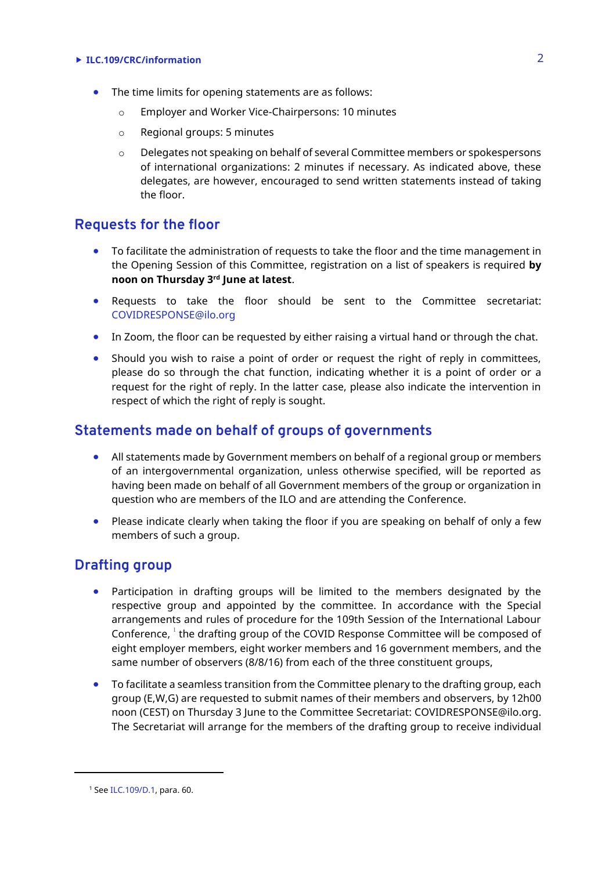#### **ILC.109/CRC/information** 2

- The time limits for opening statements are as follows:
	- o Employer and Worker Vice-Chairpersons: 10 minutes
	- o Regional groups: 5 minutes
	- o Delegates not speaking on behalf of several Committee members or spokespersons of international organizations: 2 minutes if necessary. As indicated above, these delegates, are however, encouraged to send written statements instead of taking the floor.

#### **Requests for the floor**

- To facilitate the administration of requests to take the floor and the time management in the Opening Session of this Committee, registration on a list of speakers is required **by noon on Thursday 3rd June at latest**.
- Requests to take the floor should be sent to the Committee secretariat: [COVIDRESPONSE@ilo.org](file://///ad.ilo.org/gva/SPROT/V-SPROT/SEC_SOC/SOC_FAS/COMMON/SECSOC%202005/ILC2020/Secretariat/cdr@ilo.org)
- In Zoom, the floor can be requested by either raising a virtual hand or through the chat.
- Should you wish to raise a point of order or request the right of reply in committees, please do so through the chat function, indicating whether it is a point of order or a request for the right of reply. In the latter case, please also indicate the intervention in respect of which the right of reply is sought.

#### **Statements made on behalf of groups of governments**

- All statements made by Government members on behalf of a regional group or members of an intergovernmental organization, unless otherwise specified, will be reported as having been made on behalf of all Government members of the group or organization in question who are members of the ILO and are attending the Conference.
- Please indicate clearly when taking the floor if you are speaking on behalf of only a few members of such a group.

### **Drafting group**

- Participation in drafting groups will be limited to the members designated by the respective group and appointed by the committee. In accordance with the Special arrangements and rules of procedure for the 109th Session of the International Labour Conference, <sup>1</sup> the drafting group of the COVID Response Committee will be composed of eight employer members, eight worker members and 16 government members, and the same number of observers (8/8/16) from each of the three constituent groups,
- To facilitate a seamless transition from the Committee plenary to the drafting group, each group (E,W,G) are requested to submit names of their members and observers, by 12h00 noon (CEST) on Thursday 3 June to the Committee Secretariat: [COVIDRESPONSE@ilo.org.](mailto:COVIDRESPONSE@ilo.org) The Secretariat will arrange for the members of the drafting group to receive individual

 $\overline{a}$ 

<sup>1</sup> Se[e ILC.109/D.1,](https://www.ilo.org/wcmsp5/groups/public/---ed_norm/---relconf/documents/meetingdocument/wcms_791674.pdf) para. 60.